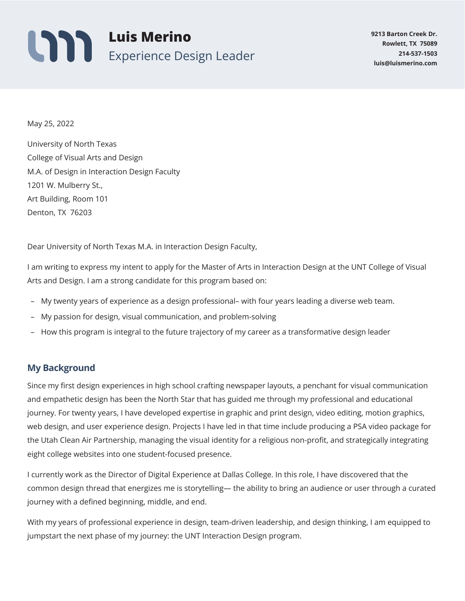

May 25, 2022

University of North Texas College of Visual Arts and Design M.A. of Design in Interaction Design Faculty 1201 W. Mulberry St., Art Building, Room 101 Denton, TX 76203

Dear University of North Texas M.A. in Interaction Design Faculty,

I am writing to express my intent to apply for the Master of Arts in Interaction Design at the UNT College of Visual Arts and Design. I am a strong candidate for this program based on:

- **–** My twenty years of experience as a design professional– with four years leading a diverse web team.
- **–** My passion for design, visual communication, and problem-solving
- **–** How this program is integral to the future trajectory of my career as a transformative design leader

## **My Background**

Since my first design experiences in high school crafting newspaper layouts, a penchant for visual communication and empathetic design has been the North Star that has guided me through my professional and educational journey. For twenty years, I have developed expertise in graphic and print design, video editing, motion graphics, web design, and user experience design. Projects I have led in that time include producing a PSA video package for the Utah Clean Air Partnership, managing the visual identity for a religious non-profit, and strategically integrating eight college websites into one student-focused presence.

I currently work as the Director of Digital Experience at Dallas College. In this role, I have discovered that the common design thread that energizes me is storytelling— the ability to bring an audience or user through a curated journey with a defined beginning, middle, and end.

With my years of professional experience in design, team-driven leadership, and design thinking, I am equipped to jumpstart the next phase of my journey: the UNT Interaction Design program.